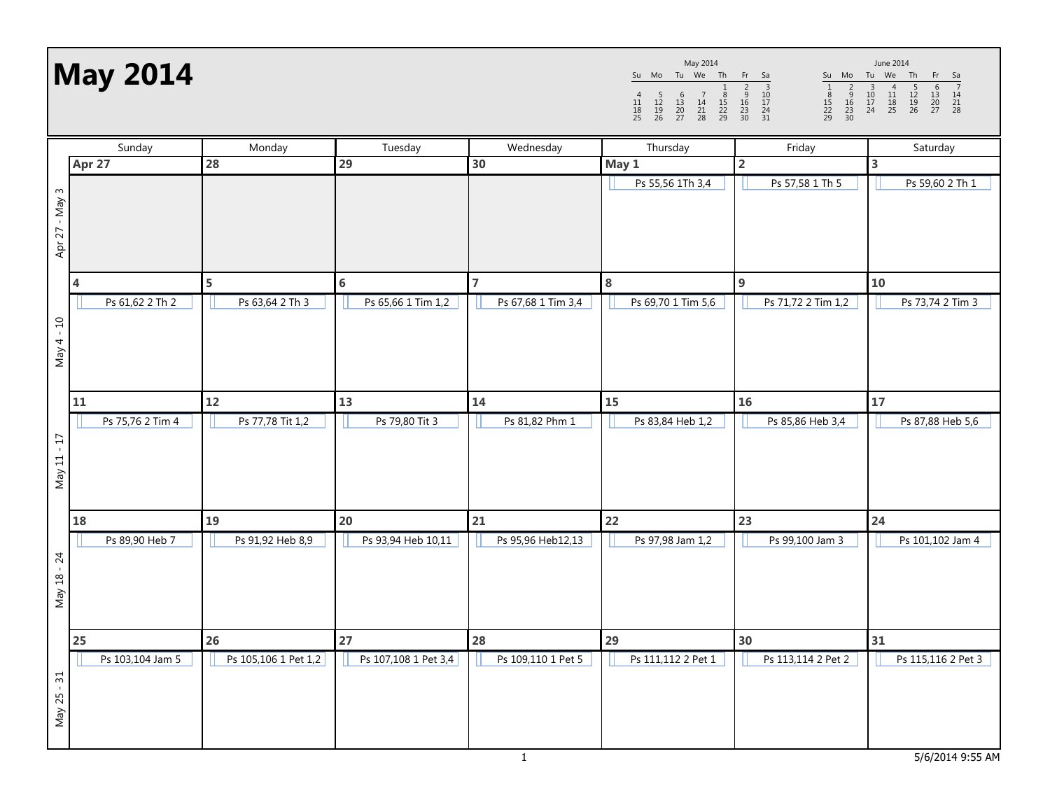May 2014

Apr 27 - May 3

Apr 27 - May 3

4

11

May 4 - 10

Apr 27

| lay 2014         |                  |                    |                    | May 2014<br>Su Mo Tu We Th<br>$\begin{array}{c} 1 \\ 8 \\ 15 \\ 22 \\ 29 \end{array}$<br>$\begin{array}{c} 5 \\ 12 \\ 19 \\ 26 \end{array}$<br>$\begin{array}{c} 7 \\ 14 \\ 21 \\ 28 \end{array}$<br>$6\overline{6}$<br>$\overline{4}$<br>$\begin{array}{c}\n 11 \\  18 \\  25\n \end{array}$<br>$\begin{array}{c}\n 13 \\  20 \\  27\n \end{array}$ | Fr<br>Sa<br>$\begin{array}{@{}lllllllll@{}} & & & & & & & \\ \hline & 2 & & 3 & & & \\ & 9 & & 10 & & & \\ & 16 & & 17 & & & \\ & 23 & & 24 & & & \\ & 30 & & 31 & & & \\ \end{array}$<br>$\frac{1}{8}$<br>$\begin{array}{c}\n2 \\ 9 \\ 16 \\ 23 \\ 30\n\end{array}$<br>$\frac{15}{22}$<br>29 | June 2014<br>Su Mo Tu We Th<br>Fr 1<br>Sa<br>$\frac{1}{7}$<br>$\begin{array}{r} 5 \\ 12 \\ 19 \\ 26 \end{array}$<br>$\begin{array}{c} 6 \\ 13 \\ 20 \\ 27 \end{array}$<br>$\begin{array}{r} 3 \\ 10 \\ 17 \\ 24 \end{array}$<br>$\begin{array}{c}\n4 \\ 11 \\ 18 \\ 25\n\end{array}$<br>$\begin{array}{c} 14 \\ 21 \\ 28 \end{array}$ |
|------------------|------------------|--------------------|--------------------|------------------------------------------------------------------------------------------------------------------------------------------------------------------------------------------------------------------------------------------------------------------------------------------------------------------------------------------------------|-----------------------------------------------------------------------------------------------------------------------------------------------------------------------------------------------------------------------------------------------------------------------------------------------|---------------------------------------------------------------------------------------------------------------------------------------------------------------------------------------------------------------------------------------------------------------------------------------------------------------------------------------|
| Sunday           | Monday           | Tuesday            | Wednesday          | Thursday                                                                                                                                                                                                                                                                                                                                             | Friday                                                                                                                                                                                                                                                                                        | Saturday                                                                                                                                                                                                                                                                                                                              |
| Apr 27           | 28               | 29                 | 30                 | May 1                                                                                                                                                                                                                                                                                                                                                | $\overline{2}$                                                                                                                                                                                                                                                                                | 3                                                                                                                                                                                                                                                                                                                                     |
|                  |                  |                    |                    | Ps 55,56 1Th 3,4                                                                                                                                                                                                                                                                                                                                     | Ps 57,58 1 Th 5                                                                                                                                                                                                                                                                               | Ps 59,60 2 Th 1                                                                                                                                                                                                                                                                                                                       |
| 4                | 5                | $\bf 6$            | $\overline{7}$     | ${\bf 8}$                                                                                                                                                                                                                                                                                                                                            | $\overline{9}$                                                                                                                                                                                                                                                                                | 10                                                                                                                                                                                                                                                                                                                                    |
| Ps 61,62 2 Th 2  | Ps 63,64 2 Th 3  | Ps 65,66 1 Tim 1,2 | Ps 67,68 1 Tim 3,4 | Ps 69,70 1 Tim 5,6                                                                                                                                                                                                                                                                                                                                   | Ps 71,72 2 Tim 1,2                                                                                                                                                                                                                                                                            | Ps 73,74 2 Tim 3                                                                                                                                                                                                                                                                                                                      |
| 11               | 12               | 13                 | 14                 | 15                                                                                                                                                                                                                                                                                                                                                   | 16                                                                                                                                                                                                                                                                                            | 17                                                                                                                                                                                                                                                                                                                                    |
| Ps 75,76 2 Tim 4 | Ps 77,78 Tit 1,2 | Ps 79,80 Tit 3     | Ps 81,82 Phm 1     | Ps 83,84 Heb 1,2                                                                                                                                                                                                                                                                                                                                     | Ps 85,86 Heb 3,4                                                                                                                                                                                                                                                                              | Ps 87,88 Heb 5,6                                                                                                                                                                                                                                                                                                                      |

| $\overline{1}$<br>May 11                 | $\sqrt{3}/3$ , $\sqrt{0}$ $\sqrt{2}$ $\sqrt{11111}$ + | $1/1/10$ III $\pm$ , $\pm$ | $5/700$ iii 3        | L2 0T'05 LIIIII T  | $50,04$ HeV $1,2$  | $F$ , כ ט $F$ ור טס, כס כ | $\sim$ 07,00 HED J,0 |
|------------------------------------------|-------------------------------------------------------|----------------------------|----------------------|--------------------|--------------------|---------------------------|----------------------|
|                                          | 18                                                    | 19                         | 20                   | 21                 | 22                 | 23                        | 24                   |
|                                          | Ps 89,90 Heb 7                                        | Ps 91,92 Heb 8,9           | Ps 93,94 Heb 10,11   | Ps 95,96 Heb12,13  | Ps 97,98 Jam 1,2   | Ps 99,100 Jam 3           | Ps 101,102 Jam 4     |
| $\overline{2}$<br>$\mathbf{I}$<br>May 18 |                                                       |                            |                      |                    |                    |                           |                      |
|                                          | 25                                                    | 26                         | 27                   | 28                 | 29                 | 30                        | 31                   |
| 31<br>May 25                             | Ps 103,104 Jam 5                                      | Ps 105,106 1 Pet 1,2       | Ps 107,108 1 Pet 3,4 | Ps 109,110 1 Pet 5 | Ps 111,112 2 Pet 1 | Ps 113,114 2 Pet 2        | Ps 115,116 2 Pet 3   |